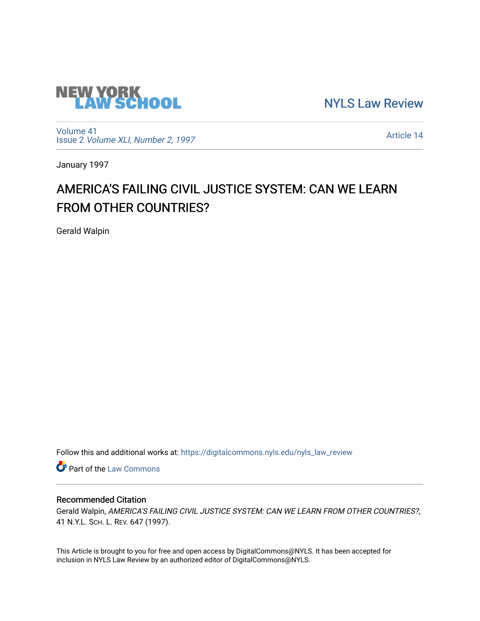

[NYLS Law Review](https://digitalcommons.nyls.edu/nyls_law_review) 

[Volume 41](https://digitalcommons.nyls.edu/nyls_law_review/vol41) Issue 2 [Volume XLI, Number 2, 1997](https://digitalcommons.nyls.edu/nyls_law_review/vol41/iss2)

[Article 14](https://digitalcommons.nyls.edu/nyls_law_review/vol41/iss2/14) 

January 1997

# AMERICA'S FAILING CIVIL JUSTICE SYSTEM: CAN WE LEARN FROM OTHER COUNTRIES?

Gerald Walpin

Follow this and additional works at: [https://digitalcommons.nyls.edu/nyls\\_law\\_review](https://digitalcommons.nyls.edu/nyls_law_review?utm_source=digitalcommons.nyls.edu%2Fnyls_law_review%2Fvol41%2Fiss2%2F14&utm_medium=PDF&utm_campaign=PDFCoverPages) 

**Part of the [Law Commons](https://network.bepress.com/hgg/discipline/578?utm_source=digitalcommons.nyls.edu%2Fnyls_law_review%2Fvol41%2Fiss2%2F14&utm_medium=PDF&utm_campaign=PDFCoverPages)** 

# Recommended Citation

Gerald Walpin, AMERICA'S FAILING CIVIL JUSTICE SYSTEM: CAN WE LEARN FROM OTHER COUNTRIES?, 41 N.Y.L. SCH. L. REV. 647 (1997).

This Article is brought to you for free and open access by DigitalCommons@NYLS. It has been accepted for inclusion in NYLS Law Review by an authorized editor of DigitalCommons@NYLS.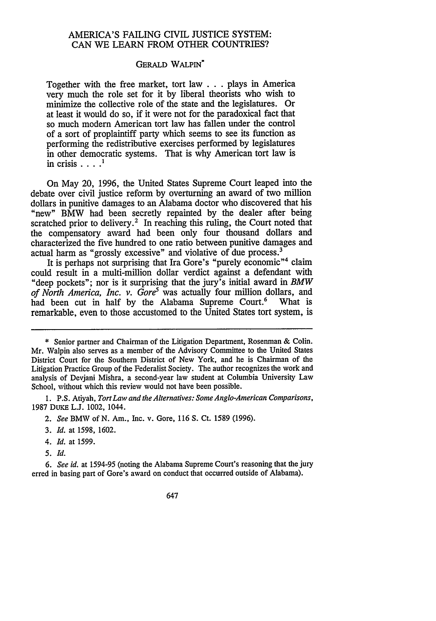# AMERICA'S FAILING CIVIL JUSTICE SYSTEM: CAN WE LEARN FROM OTHER COUNTRIES?

#### GERALD WALPIN\*

Together with the free market, tort law **...** plays in America very much the role set for it by liberal theorists who wish to minimize the collective role of the state and the legislatures. Or at least it would do so, if it were not for the paradoxical fact that so much modem American tort law has fallen under the control of a sort of proplaintiff party which seems to see its function as performing the redistributive exercises performed by legislatures in other democratic systems. That is why American tort law is in crisis  $\ldots$ <sup>1</sup>

On May 20, 1996, the United States Supreme Court leaped into the debate over civil justice reform by overturning an award of two million dollars in punitive damages to an Alabama doctor who discovered that his "new" BMW had been secretly repainted by the dealer after being scratched prior to delivery.<sup>2</sup> In reaching this ruling, the Court noted that the compensatory award had been only four thousand dollars and characterized the five hundred to one ratio between punitive damages and actual harm as "grossly excessive" and violative of due process.<sup>3</sup>

It is perhaps not surprising that Ira Gore's "purely economic"<sup>4</sup> claim could result in a multi-million dollar verdict against a defendant with "deep pockets"; nor is it surprising that the jury's initial award in *BMW of North America, Inc. v. Gore<sup>5</sup>* was actually four million dollars, and had been cut in half by the Alabama Supreme Court.<sup>6</sup> What is had been cut in half by the Alabama Supreme Court.<sup>6</sup> remarkable, even to those accustomed to the United States tort system, is

- *3. Id.* at 1598, 1602.
- *4. Id.* at 1599.
- *5. Id.*

*6. See id.* at 1594-95 (noting the Alabama Supreme Court's reasoning that the jury erred in basing part of Gore's award on conduct that occurred outside of Alabama).

<sup>\*</sup> Senior partner and Chairman of the Litigation Department, Rosenman & Colin. Mr. Walpin also serves as a member of the Advisory Committee to the United States District Court for the Southern District of New York, and he is Chairman of the Litigation Practice Group of the Federalist Society. The author recognizes the work and analysis of Devjani Mishra, a second-year law student at Columbia University Law School, without which this review would not have been possible.

**<sup>1.</sup>** P.S. Atiyah, *Tort Law and the Alternatives: Some Anglo-American Comparisons,* 1987 DuKE L.J. 1002, 1044.

*<sup>2.</sup> See* BMW of N. Am., Inc. v. Gore, 116 S. Ct. 1589 (1996).

<sup>647</sup>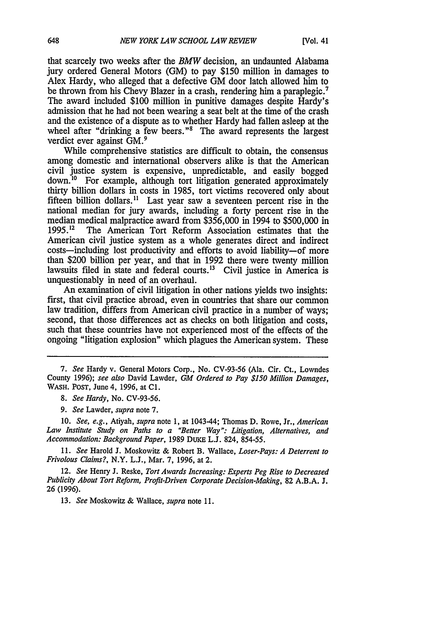that scarcely two weeks after the *BMW* decision, an undaunted Alabama jury ordered General Motors (GM) to pay \$150 million in damages to Alex Hardy, who alleged that a defective GM door latch allowed him to be thrown from his Chevy Blazer in a crash, rendering him a paraplegic.' The award included \$100 million in punitive damages despite Hardy's admission that he had not been wearing a seat belt at the time of the crash and the existence of a dispute as to whether Hardy had fallen asleep at the wheel after "drinking a few beers."<sup>8</sup> The award represents the largest verdict ever against GM. <sup>9</sup>

While comprehensive statistics are difficult to obtain, the consensus among domestic and international observers alike is that the American civil justice system is expensive, unpredictable, and easily bogged down.'0 For example, although tort litigation generated approximately thirty billion dollars in costs in 1985, tort victims recovered only about fifteen billion dollars.<sup>11</sup> Last year saw a seventeen percent rise in the national median for jury awards, including a forty percent rise in the median medical malpractice award from  $$356,000$  in 1994 to  $$500,000$  in 1995.<sup>12</sup> The American Tort Reform Association estimates that the **1995.12** The American Tort Reform Association estimates that the American civil justice system as a whole generates direct and indirect costs—including lost productivity and efforts to avoid liability-of more than \$200 billion per year, and that in 1992 there were twenty million lawsuits filed in state and federal courts.<sup>13</sup> Civil justice in America is unquestionably in need of an overhaul.

An examination of civil litigation in other nations yields two insights: first, that civil practice abroad, even in countries that share our common law tradition, differs from American civil practice in a number of ways; second, that those differences act as checks on both litigation and costs, such that these countries have not experienced most of the effects of the ongoing "litigation explosion" which plagues the American system. These

10. *See, e.g.,* Atiyah, *supra* note 1, at 1043-44; Thomas D. Rowe, Jr., *American Law Institute Study on Paths to a "Better Way": Litigation, Alternatives, and Accommodation: Background Paper,* 1989 DuKE L.J. 824, 854-55.

*11. See* Harold J. Moskowitz & Robert B. Wallace, *Loser-Pays: A Deterrent to Frivolous Claims?,* N.Y. **L.J.,** Mar. 7, 1996, at 2.

12. *See* Henry J. Reske, *Tort Awards Increasing: Experts Peg Rise to Decreased Publicity About Tort Reform, Profit-Driven Corporate Decision-Making,* 82 A.B.A. J. 26 (1996).

13. *See* Moskowitz & Wallace, *supra* note 11.

*<sup>7.</sup> See* Hardy v. General Motors Corp., No. CV-93-56 (Ala. Cir. Ct., Lowndes County 1996); *see also* David Lawder, *GM Ordered to Pay \$150 Million Damages,* **WASH.** POST, June 4, 1996, at **Cl.**

*<sup>8.</sup> See Hardy,* No. CV-93-56.

*<sup>9.</sup> See* Lawder, *supra* note 7.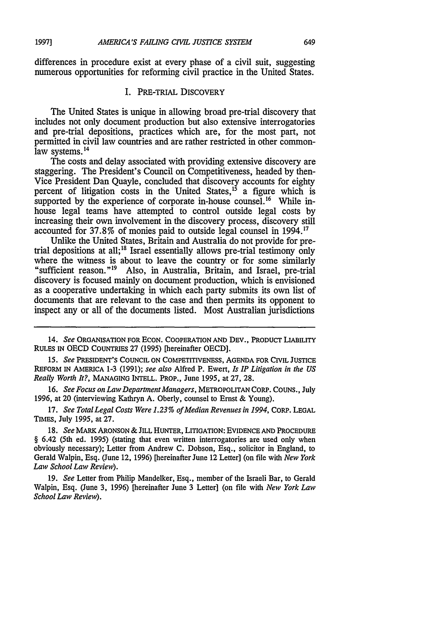differences in procedure exist at every phase of a civil suit, suggesting numerous opportunities for reforming civil practice in the United States.

#### I. PRE-TRIAL DISCOVERY

The United States is unique in allowing broad pre-trial discovery that includes not only document production but also extensive interrogatories and pre-trial depositions, practices which are, for the most part, not permitted in civil law countries and are rather restricted in other commonlaw systems.<sup>14</sup>

The costs and delay associated with providing extensive discovery are staggering. The President's Council on Competitiveness, headed by then-Vice President Dan Quayle, concluded that discovery accounts for eighty percent of litigation costs in the United States,  $15$  a figure which is supported by the experience of corporate in-house counsel.<sup>16</sup> While inhouse legal teams have attempted to control outside legal costs by increasing their own involvement in the discovery process, discovery still accounted for 37.8% of monies paid to outside legal counsel in 1994.'1

Unlike the United States, Britain and Australia do not provide for pretrial depositions at all;<sup>18</sup> Israel essentially allows pre-trial testimony only where the witness is about to leave the country or for some similarly where the witness is about to leave the countries in the countries with the countries in the countries in the countries in the country sufficient reason."<sup>19</sup> Also, in Australia, Britain, and Israel, pre-trial discovery is focused mainly on document production, which is envisioned as a cooperative undertaking in which each party submits its own list of documents that are relevant to the case and then permits its opponent to inspect any or all of the documents listed. Most Australian jurisdictions

*15. See* PRESIDENT'S COUNCIL ON COMPETITIVENESS, AGENDA FOR CIVIL JUSTICE REFORM IN AMERICA **1-3** (1991); see also Alfred P. Ewert, *Is IP Litigation in the US Really Worth It?,* MANAGING INTELL. PROP., June 1995, at 27, 28.

*16. See Focus on Law Department Managers,* METROPOLITAN CORP. CouNs., July 1996, at 20 (interviewing Kathryn A. Oberly, counsel to Ernst & Young).

17. *See Total Legal Costs Were 1.23% of Median Revenues in 1994,* CORP. LEGAL TIMES, July 1995, at 27.

**18.** *See* MARK ARONSON & JILL HUNTER, LITIGATION: EVIDENCE AND PROCEDURE § 6.42 (5th ed. 1995) (stating that even written interrogatories are used only when obviously necessary); Letter from Andrew C. Dobson, Esq., solicitor in England, to Gerald Walpin, Esq. (June 12, 1996) [hereinafter June 12 Letter] (on file with *New York Law School Law Review).*

19. *See* Letter from Philip Mandelker, Esq., member of the Israeli Bar, to Gerald Walpin, Esq. (June 3, 1996) [hereinafter June 3 Letter] (on file with *New York Law School Law Review).*

**19971**

<sup>14.</sup> *See* ORGANISATION FOR ECON. COOPERATION AND DEv., PRODUCT LIABILITY RULES IN OECD COUNTRIES 27 (1995) [hereinafter OECD].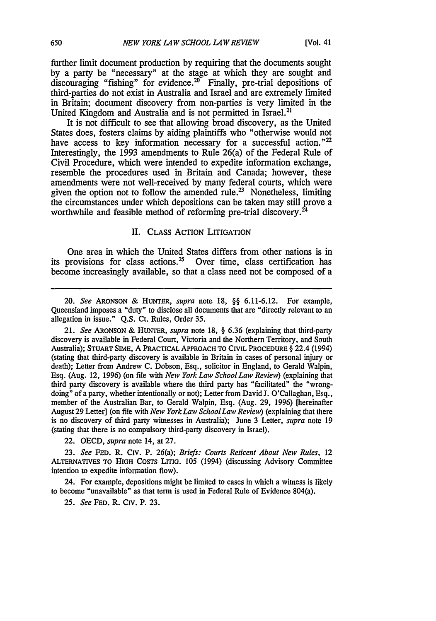further limit document production by requiring that the documents sought by a party be "necessary" at the stage at which they are sought and discouraging "fishing" for evidence.<sup>20</sup> Finally, pre-trial depositions of third-parties do not exist in Australia and Israel and are extremely limited in Britain; document discovery from non-parties is very limited in the United Kingdom and Australia and is not permitted in Israel.<sup>21</sup>

It is not difficult to see that allowing broad discovery, as the United States does, fosters claims by aiding plaintiffs who "otherwise would not have access to key information necessary for a successful action." $22$ Interestingly, the 1993 amendments to Rule 26(a) of the Federal Rule of Civil Procedure, which were intended to expedite information exchange, resemble the procedures used in Britain and Canada; however, these amendments were not well-received by many federal courts, which were given the option not to follow the amended rule.<sup>23</sup> Nonetheless, limiting the circumstances under which depositions can be taken may still prove a worthwhile and feasible method of reforming pre-trial discovery.<sup>2</sup>

#### II. CLASS ACTION LITIGATION

One area in which the United States differs from other nations is in its provisions for class actions.<sup>25</sup> Over time, class certification has become increasingly available, so that a class need not be composed of a

22. OECD, *supra* note 14, at 27.

23. *See* FED. R. CIv. P. 26(a); *Briefs: Courts Reticent About New Rules,* 12 ALTERNATIVES TO **HIGH** COSTS **LITIG. 105** (1994) (discussing Advisory Committee intention to expedite information flow).

24. For example, depositions might be limited to cases in which a witness is likely to become "unavailable" as that term is used in Federal Rule of Evidence 804(a).

*25. See* **FED.** R. Civ. P. **23.**

<sup>20.</sup> *See* ARONSON & **HUNTER,** supra note 18, §§ 6.11-6.12. For example, Queensland imposes a "duty" to disclose all documents that are "directly relevant to an allegation in issue." Q.S. Ct. Rules, Order 35.

<sup>21.</sup> *See* **ARONSON** & **HUNTER,** *supra* note 18, § 6.36 (explaining that third-party discovery is available in Federal Court, Victoria and the Northern Territory, and South Australia); **STUART SIME,** A PRACTICAL APPROACH TO CIVIL PROCEDURE § 22.4 (1994) (stating that third-party discovery is available in Britain in cases of personal injury or death); Letter from Andrew **C.** Dobson, Esq., solicitor in England, to Gerald Walpin, Esq. (Aug. 12, **1996)** (on file with *New York Law School Law Review)* (explaining that third party discovery is available where the third party has "facilitated" the "wrongdoing" of a party, whether intentionally or not); Letter from David **J.** O'Callaghan, **Esq.,** member of the Australian Bar, to Gerald Walpin, Esq. (Aug. **29, 1996)** [hereinafter August **29** Letter] (on file with *New York Law SchoolLaw Review)* (explaining that there is no discovery of third party witnesses in Australia); June 3 Letter, *supra* note 19 (stating that there is no compulsory third-party discovery in Israel).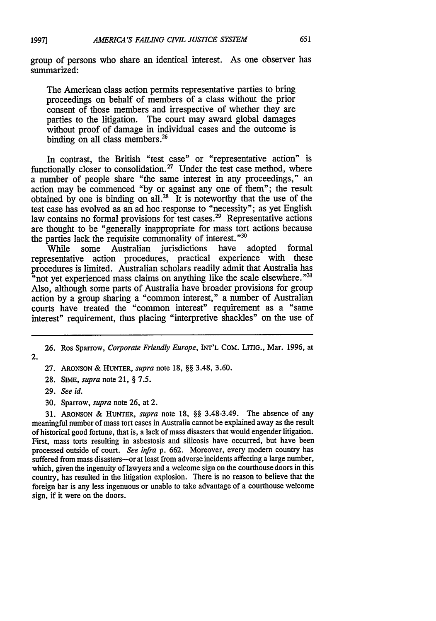group of persons who share an identical interest. As one observer has summarized:

The American class action permits representative parties to bring proceedings on behalf of members of a class without the prior consent of those members and irrespective of whether they are parties to the litigation. The court may award global damages without proof of damage in individual cases and the outcome is binding on all class members.<sup>26</sup>

In contrast, the British "test case" or "representative action" is functionally closer to consolidation.<sup>27</sup> Under the test case method, where a number of people share "the same interest in any proceedings," an action may be commenced "by or against any one of them"; the result obtained by one is binding on all. $^{28}$  It is noteworthy that the use of the test case has evolved as an ad hoe response to "necessity"; as yet English law contains no formal provisions for test cases.<sup>29</sup> Representative actions are thought to be "generally inappropriate for mass tort actions because the parties lack the requisite commonality of interest."<sup>30</sup><br>While some Australian jurisdictions have adopted

While some Australian jurisdictions have adopted formal representative action procedures, practical experience with these procedures is limited. Australian scholars readily admit that Australia has "not yet experienced mass claims on anything like the scale elsewhere."<sup>31</sup> Also, although some parts of Australia have broader provisions for group action by a group sharing a "common interest," a number of Australian courts have treated the "common interest" requirement as a "same interest" requirement, thus placing "interpretive shackles" on the use of

**27. ARONSON & HUNTER,** *supra* note 18, §§ 3.48, 3.60.

28. **SIME,** *supra* note 21, § 7.5.

**29.** *See id.*

30. Sparrow, *supra* note 26, at 2.

31. ARONSON & HUNTER, *supra* note 18, §§ 3.48-3.49. The absence of any meaningful number of mass tort cases in Australia cannot be explained away as the result of historical good fortune, that is, a lack of mass disasters that would engender litigation. First, mass torts resulting in asbestosis and silicosis have occurred, but have been processed outside of court. *See infra* p. 662. Moreover, every modem country has suffered from mass disasters-or at least from adverse incidents affecting a large number, which, given the ingenuity of lawyers and a welcome sign on the courthouse doors in this country, has resulted in the litigation explosion. There is no reason to believe that the foreign bar is any less ingenuous or unable to take advantage of a courthouse welcome sign, if it were on the doors.

<sup>26.</sup> Ros Sparrow, *Corporate Friendly Europe,* INT'L COM. LITIG., Mar. 1996, at 2.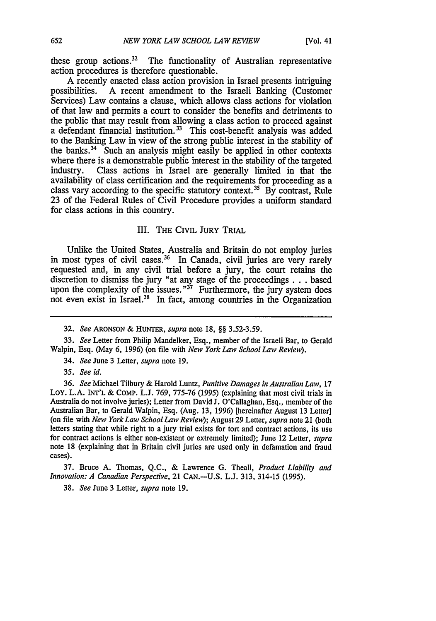these group actions.32 The functionality of Australian representative action procedures is therefore questionable.

A recently enacted class action provision in Israel presents intriguing<br>possibilities. A recent amendment to the Israeli Banking (Customer A recent amendment to the Israeli Banking (Customer Services) Law contains a clause, which allows class actions for violation of that law and permits a court to consider the benefits and detriments to the public that may result from allowing a class action to proceed against a defendant financial institution.<sup>33</sup> This cost-benefit analysis was added to the Banking Law in view of the strong public interest in the stability of the banks. $34$  Such an analysis might easily be applied in other contexts where there is a demonstrable public interest in the stability of the targeted industry. Class actions in Israel are generally limited in that the Class actions in Israel are generally limited in that the availability of class certification and the requirements for proceeding as a class vary according to the specific statutory context.<sup>35</sup> By contrast, Rule 23 of the Federal Rules of Civil Procedure provides a uniform standard for class actions in this country.

### III. **THE** CIVIL JURY TRIAL

Unlike the United States, Australia and Britain do not employ juries in most types of civil cases.<sup>36</sup> In Canada, civil juries are very rarely requested and, in any civil trial before a jury, the court retains the discretion to dismiss the jury "at any stage of the proceedings **. . .** based upon the complexity of the issues."<sup>37</sup> Furthermore, the jury system does not even exist in Israel.<sup>38</sup> In fact, among countries in the Organization

32. See ARONSON & *HUNTER, supra* note 18, §§ 3.52-3.59.

33. See Letter from Philip Mandelker, Esq., member of the Israeli Bar, to Gerald Walpin, Esq. (May 6, 1996) (on file with *New York Law School Law Review).*

34. See June 3 Letter, *supra* note 19.

35. See id.

36. See Michael Tilbury & Harold Luntz, Punitive Damages in Australian Law, 17 Loy. L.A. INT'L & COMP. L.J. 769, 775-76 (1995) (explaining that most civil trials in Australia do not involve juries); Letter from David J. O'Callaghan, Esq., member of the Australian Bar, to Gerald Walpin, Esq. (Aug. 13, 1996) [hereinafter August 13 Letter] (on file with New York Law SchoolLaw Review); August 29 Letter, *supra* note 21 (both letters stating that while right to a jury trial exists for tort and contract actions, its use for contract actions is either non-existent or extremely limited); June 12 Letter, *supra* note 18 (explaining that in Britain civil juries are used only in defamation and fraud cases).

37. Bruce A. Thomas, Q.C., & Lawrence G. Theall, *Product Liability and* Innovation: A Canadian Perspective, 21 CAN.-U.S. L.J. 313, 314-15 (1995).

38. See June 3 Letter, supra note 19.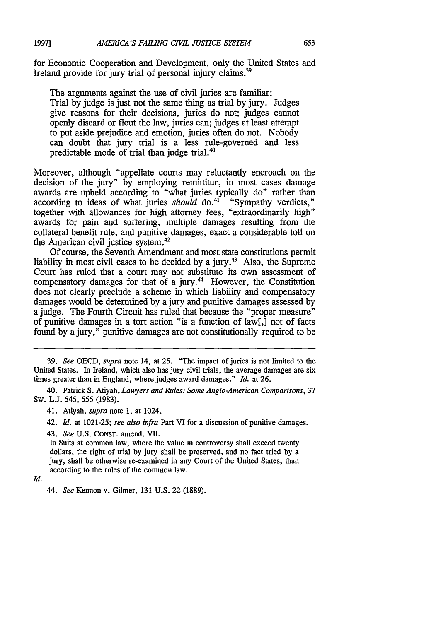for Economic Cooperation and Development, only the United States and Ireland provide for jury trial of personal injury claims.<sup>39</sup>

The arguments against the use of civil juries are familiar: Trial by judge is just not the same thing as trial by jury. Judges give reasons for their decisions, juries do not; judges cannot openly discard or flout the law, juries can; judges at least attempt to put aside prejudice and emotion, juries often do not. Nobody can doubt that jury trial is a less rule-governed and less predictable mode of trial than judge trial. $40$ 

Moreover, although "appellate courts may reluctantly encroach on the decision of the jury" by employing remittitur, in most cases damage awards are upheld according to "what juries typically do" rather than according to ideas of what juries *should* do.<sup>41</sup> "Sympathy verdicts," together with allowances for high attorney fees, "extraordinarily high" awards for pain and suffering, multiple damages resulting from the collateral benefit rule, and punitive damages, exact a considerable toll on the American civil justice system.<sup>42</sup>

Of course, the Seventh Amendment and most state constitutions permit liability in most civil cases to be decided by a jury.<sup>43</sup> Also, the Supreme Court has ruled that a court may not substitute its own assessment of compensatory damages for that of a jury.<sup>44</sup> However, the Constitution does not clearly preclude a scheme in which liability and compensatory damages would be determined by a jury and punitive damages assessed by a judge. The Fourth Circuit has ruled that because the "proper measure" of punitive damages in a tort action "is a function of law[,] not of facts found by a jury," punitive damages are not constitutionally required to be

39. *See* OECD, *supra* note 14, at **25.** "The impact of juries is not limited to the United States. In Ireland, which also has jury civil trials, the average damages are six times greater than in England, where judges award damages." *Id.* at 26.

40. Patrick S. Atiyah, *Lawyers and Rules: Some Anglo-American Comparisons,* 37 Sw. L.J. 545, 555 (1983).

41. Atiyah, *supra* note 1, at 1024.

42. *Id.* at 1021-25; *see also infra* Part VI for a discussion of punitive damages.

43. *See* U.S. CONST. amend. VII.

In Suits at common law, where the value in controversy shall exceed twenty dollars, the right of trial by jury shall be preserved, and no fact tried by a jury, shall be otherwise re-examined in any Court of the United States, than according to the rules of the common law.

*Id.*

44. *See* Kennon v. Gilmer, 131 U.S. 22 (1889).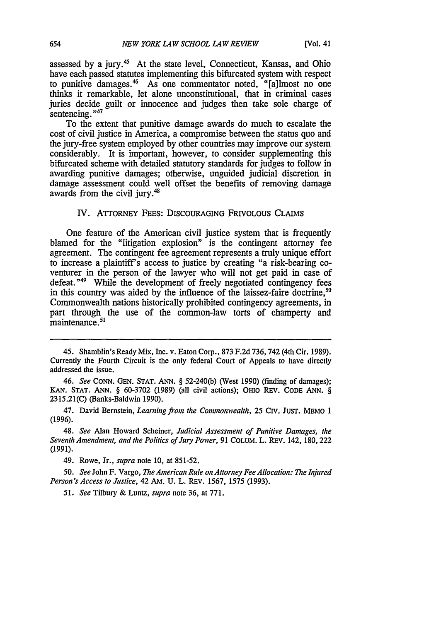assessed by a jury.<sup>45</sup> At the state level, Connecticut, Kansas, and Ohio have each passed statutes implementing this bifurcated system with respect to punitive damages.<sup>46</sup> As one commentator noted, "[a]lmost no one thinks it remarkable, let alone unconstitutional, that in criminal cases juries decide guilt or innocence and judges then take sole charge of sentencing."<sup>47</sup>

To the extent that punitive damage awards do much to escalate the cost of civil justice in America, a compromise between the status quo and the jury-free system employed by other countries may improve our system considerably. It is important, however, to consider supplementing this bifurcated scheme with detailed statutory standards for judges to follow in awarding punitive damages; otherwise, unguided judicial discretion in damage assessment could well offset the benefits of removing damage awards from the civil jury.<sup>48</sup>

### IV. ATTORNEY FEES: DISCOURAGING FRIVOLOUS CLAIMS

One feature of the American civil justice system that is frequently blamed for the "litigation explosion" is the contingent attorney fee agreement. The contingent fee agreement represents a truly unique effort to increase a plaintiff's access to justice by creating "a risk-bearing coventurer in the person of the lawyer who will not get paid in case of defeat."<sup>49</sup> While the development of freely negotiated contingency fees in this country was aided by the influence of the laissez-faire doctrine,<sup>51</sup> Commonwealth nations historically prohibited contingency agreements, in part through the use of the common-law torts of champerty and maintenance.<sup>51</sup>

48. *See* Alan Howard Scheiner, *Judicial Assessment of Punitive Damages, the Seventh Amendment, and the Politics of Jury Power,* 91 COLUM. L. REV. 142, 180, 222 (1991).

49. Rowe, Jr., *supra* note **10,** at 851-52.

50. *See* John F. Vargo, *The American Rule on Attorney Fee Allocation: The Injured Person's Access to Justice,* 42 AM. U. L. REV. 1567, 1575 (1993).

51. *See* Tilbury & Luntz, *supra* note 36, at 771.

<sup>45.</sup> Shamblin's Ready Mix, Inc. v. Eaton Corp., 873 F.2d 736, 742 (4th Cir. 1989). Currently the Fourth Circuit is the only federal Court of Appeals to have directly addressed the issue.

<sup>46.</sup> *See* CONN. GEN. STAT. ANN. § 52-240(b) (West 1990) (finding of damages); **KAN.** STAT. ANN. § 60-3702 (1989) (all civil actions); OHIO REv. CODE ANN. § 2315.21(C) (Banks-Baldwin 1990).

<sup>47.</sup> David Bernstein, *Learning from the Commonwealth,* 25 Civ. JUST. MEMO 1 (1996).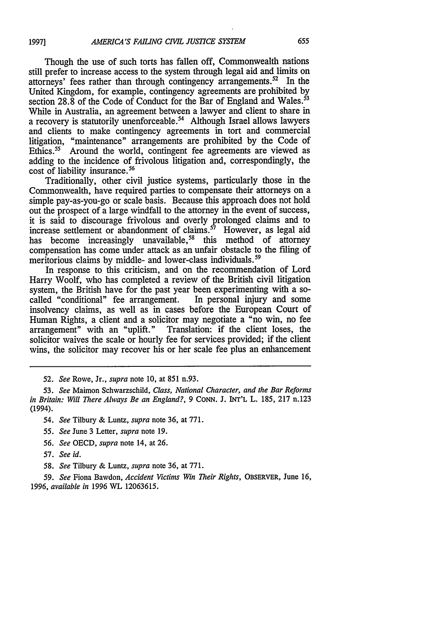Though the use of such torts has fallen off, Commonwealth nations still prefer to increase access to the system through legal aid and limits on attorneys' fees rather than through contingency arrangements.<sup>52</sup> In the United Kingdom, for example, contingency agreements are prohibited **by** section 28.8 of the Code of Conduct for the Bar of England and Wales.<sup>53</sup> While in Australia, an agreement between a lawyer and client to share in a recovery is statutorily unenforceable.<sup>54</sup> Although Israel allows lawyers and clients to make contingency agreements in tort and commercial litigation, "maintenance" arrangements are prohibited **by** the Code of Ethics.<sup>55</sup> Around the world, contingent fee agreements are viewed as adding to the incidence of frivolous litigation and, correspondingly, the cost of liability insurance.<sup>56</sup>

Traditionally, other civil justice systems, particularly those in the Commonwealth, have required parties to compensate their attorneys on a simple pay-as-you-go or scale basis. Because this approach does not hold out the prospect of a large windfall to the attorney in the event of success, it is said to discourage frivolous and overly prolonged claims and to increase settlement or abandonment of claims.<sup>57</sup> However, as legal aid has become increasingly unavailable,<sup>58</sup> this method of attorney compensation has come under attack as an unfair obstacle to the filing of meritorious claims by middle- and lower-class individuals.<sup>59</sup>

In response to this criticism, and on the recommendation of Lord Harry Woolf, who has completed a review of the British civil litigation system, the British have for the past year been experimenting with a so-called "conditional" fee arrangement. In personal injury and some called "conditional" fee arrangement. insolvency claims, as well as in cases before the European Court of Human Rights, a client and a solicitor may negotiate a "no win, no fee arrangement" with an "uplift." Translation: if the client loses, the Translation: if the client loses, the solicitor waives the scale or hourly fee for services provided; if the client wins, the solicitor may recover his or her scale fee plus an enhancement

**52.** *See* Rowe, Jr., *supra* note **10,** at **851** n.93.

*53. See* Maimon Schwarzschild, *Class, National Character, and the Bar Reforms in Britain: Will There Always Be an England?, 9* **CONN. J.** INT'L L. **185, 217** n.123 (1994).

*54. See* Tilbury & Luntz, *supra* note 36, at 771.

*55. See* June 3 Letter, *supra* note 19.

56. *See* OECD, *supra* note 14, at 26.

**57.** *See id.*

58. *See* Tilbury & Luntz, *supra* note 36, at 771.

59. *See* Fiona Bawdon, *Accident Victims Win Their Rights,* OBSERVER, June 16, *1996, available in* 1996 WL 12063615.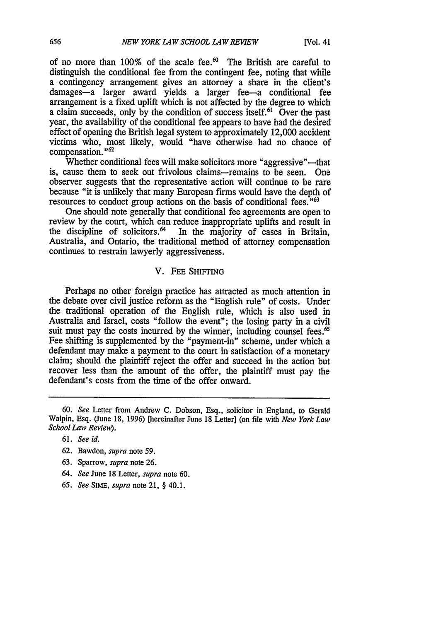of no more than  $100\%$  of the scale fee.<sup>60</sup> The British are careful to distinguish the conditional fee from the contingent fee, noting that while a contingency arrangement gives an attorney a share in the client's damages-a larger award yields a larger fee-a conditional fee arrangement is a fixed uplift which is not affected by the degree to which a claim succeeds, only by the condition of success itself.<sup>61</sup> Over the past year, the availability of the conditional fee appears to have had the desired effect of opening the British legal system to approximately 12,000 accident victims who, most likely, would "have otherwise had no chance of compensation."<sup>62</sup>

Whether conditional fees will make solicitors more "aggressive"—that is, cause them to seek out frivolous claims-remains to be seen. One observer suggests that the representative action will continue to be rare because "it is unlikely that many European firms would have the depth of resources to conduct group actions on the basis of conditional fees.<sup>"63</sup>

One should note generally that conditional fee agreements are open to review by the court, which can reduce inappropriate uplifts and result in the discipline of solicitors.<sup>64</sup> In the majority of cases in Britain, Australia, and Ontario, the traditional method of attorney compensation continues to restrain lawyerly aggressiveness.

# V. **FEE SHIFTING**

Perhaps no other foreign practice has attracted as much attention in the debate over civil justice reform as the "English rule" of costs. Under the traditional operation of the English rule, which is also used in Australia and Israel, costs "follow the event"; the losing party in a civil suit must pay the costs incurred by the winner, including counsel fees.<sup>65</sup> Fee shifting is supplemented by the "payment-in" scheme, under which a defendant may make a payment to the court in satisfaction of a monetary claim; should the plaintiff reject the offer and succeed in the action but recover less than the amount of the offer, the plaintiff must pay the defendant's costs from the time of the offer onward.

- 63. Sparrow, *supra* note 26.
- *64. See* June 18 Letter, *supra* note 60.
- *65. See* **SIME,** *supra* note 21, § 40.1.

**<sup>60.</sup>** *See* Letter from Andrew **C.** Dobson, Esq., solicitor in England, to Gerald Walpin, Esq. (June **18, 1996)** [hereinafter June 18 Letter] (on file with *New York Law School Law Review).*

**<sup>61.</sup>** *See id.*

<sup>62.</sup> Bawdon, *supra* note 59.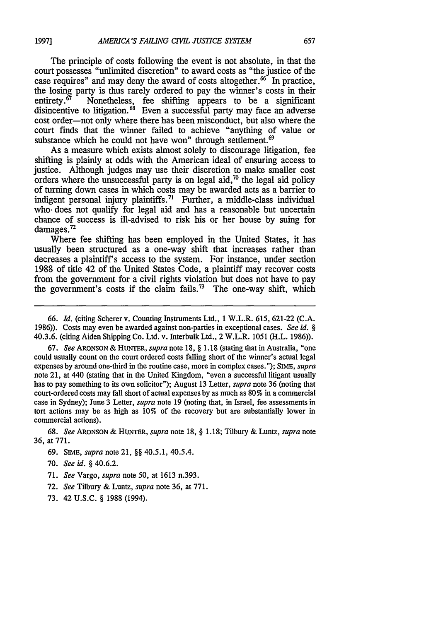The principle of costs following the event is not absolute, in that the court possesses "unlimited discretion" to award costs as "the justice of the case requires" and may deny the award of costs altogether. $66^\circ$  In practice, the losing party is thus rarely ordered to pay the winner's costs in their entirety.<sup>67</sup> Nonetheless, fee shifting appears to be a significant Nonetheless, fee shifting appears to be a significant disincentive to litigation.<sup>63</sup> Even a successful party may face an adverse cost order-not only where there has been misconduct, but also where the court finds that the winner failed to achieve "anything of value or substance which he could not have won" through settlement.<sup>69</sup>

As a measure which exists almost solely to discourage litigation, fee shifting is plainly at odds with the American ideal of ensuring access to justice. Although judges may use their discretion to make smaller cost orders where the unsuccessful party is on legal aid,<sup>70</sup> the legal aid policy of turning down cases in which costs may be awarded acts as a barrier to indigent personal injury plaintiffs.<sup>71</sup> Further, a middle-class individual who- does not qualify for legal aid and has a reasonable but uncertain chance of success is ill-advised to risk his or her house by suing for damages.<sup>72</sup>

Where fee shifting has been employed in the United States, it has usually been structured as a one-way shift that increases rather than decreases a plaintiff's access to the system. For instance, under section 1988 of title 42 of the United States Code, a plaintiff may recover costs from the government for a civil rights violation but does not have to pay the government's costs if the claim fails.<sup>73</sup> The one-way shift, which

**67.** *See* **ARONSON** & **HUNTER,** *supra* note 18, **§** 1.18 (stating that in Australia, "one could usually count on the court ordered costs falling short of the winner's actual legal expenses by around one-third in the routine case, more in complex cases."); **SIME,** *supra* note 21, at 440 (stating that in the United Kingdom, "even a successful litigant usually has to pay something to its own solicitor"); August 13 Letter, *supra* note 36 (noting that court-ordered costs may fall short of actual expenses by as much as 80% in a commercial case in Sydney); June 3 Letter, *supra* note 19 (noting that, in Israel, fee assessments in tort actions may be as high as 10% of the recovery but are substantially lower in commercial actions).

**68.** *See* **ARONSON & HUNTER,** *supra* note 18, **§** 1.18; Tilbury & Luntz, *supra* note 36, at 771.

- 71. *See* Vargo, *supra* note 50, at 1613 n.393.
- 72. *See* Tilbury & Luntz, *supra* note 36, at 771.
- 73. 42 U.S.C. **§** 1988 (1994).

<sup>66.</sup> *Id.* (citing Scherer v. Counting Instruments Ltd., 1 W.L.R. 615, 621-22 (C.A. 1986)). Costs may even be awarded against non-parties in exceptional cases. *See id. §* 40.3.6. (citing Aiden Shipping Co. Ltd. v. Interbulk Ltd., 2 W.L.R. 1051 (H.L. 1986)).

<sup>69.</sup> SIME, *supra* note 21, **§§** 40.5.1, 40.5.4.

<sup>70.</sup> *See id.* **§** 40.6.2.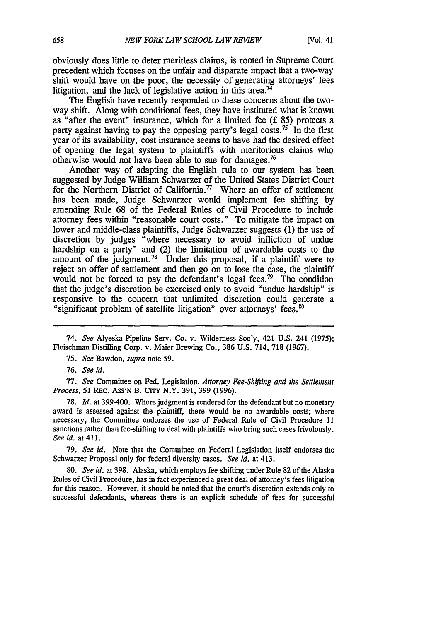obviously does little to deter meritless claims, is rooted in Supreme Court precedent which focuses on the unfair and disparate impact that a two-way shift would have on the poor, the necessity of generating attorneys' fees litigation, and the lack of legislative action in this area.<sup>74</sup>

The English have recently responded to these concerns about the twoway shift. Along with conditional fees, they have instituted what is known as "after the event" insurance, which for a limited fee **(f** 85) protects a party against having to pay the opposing party's legal costs.<sup>75</sup> In the first year of its availability, cost insurance seems to have had the desired effect of opening the legal system to plaintiffs with meritorious claims who otherwise would not have been able to sue for damages.76

Another way of adapting the English rule to our system has been suggested by Judge William Schwarzer of the United States District Court for the Northern District of California.<sup>77</sup> Where an offer of settlement has been made, Judge Schwarzer would implement fee shifting by amending Rule 68 of the Federal Rules of Civil Procedure to include attorney fees within "reasonable court costs." To mitigate the impact on lower and middle-class plaintiffs, Judge Schwarzer suggests (1) the use of discretion by judges "where necessary to avoid infliction of undue hardship on a party" and (2) the limitation of awardable costs to the amount of the judgment.<sup>78</sup> Under this proposal, if a plaintiff were to reject an offer of settlement and then go on to lose the case, the plaintiff would not be forced to pay the defendant's legal fees.<sup>79</sup> The condition that the judge's discretion be exercised only to avoid "undue hardship" is responsive to the concern that unlimited discretion could generate a "significant problem of satellite litigation" over attorneys' fees.'

77. *See* Committee on Fed. Legislation, *Attorney Fee-Shifting and the Settlement Process,* 51 REc. AsS'N B. CITY N.Y. 391, 399 (1996).

78. *Id.* at 399-400. Where judgment is rendered for the defendant but no monetary award is assessed against the plaintiff, there would be no awardable costs; where necessary, the Committee endorses the use of Federal Rule of Civil Procedure **I I** sanctions rather than fee-shifting to deal with plaintiffs who bring such cases frivolously. *See id.* at 411.

79. *See id.* Note that the Committee on Federal Legislation itself endorses the Schwarzer Proposal only for federal diversity cases. *See id.* at 413.

80. *See id.* at 398. Alaska, which employs fee shifting under Rule 82 of the Alaska Rules of Civil Procedure, has in fact experienced a great deal of attorney's fees litigation for this reason. However, it should be noted that the court's discretion extends only to successful defendants, whereas there is an explicit schedule of fees for successful

<sup>74.</sup> *See* Alyeska Pipeline Serv. Co. v. Wilderness Soc'y, 421 U.S. 241 (1975); Fleischman Distilling Corp. v. Maier Brewing Co., 386 U.S. 714, 718 (1967).

*<sup>75.</sup> See* Bawdon, *supra* note **59.**

<sup>76.</sup> *See id.*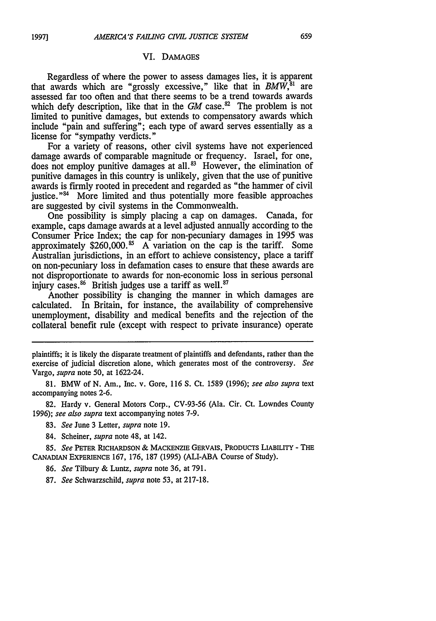#### VI. **DAMAGES**

Regardless of where the power to assess damages lies, it is apparent that awards which are "grossly excessive," like that in *BMW*,<sup>31</sup> are assessed far too often and that there seems to be a trend towards awards which defy description, like that in the  $GM$  case.<sup>82</sup> The problem is not limited to punitive damages, but extends to compensatory awards which include "pain and suffering"; each type of award serves essentially as a license for "sympathy verdicts."

For a variety of reasons, other civil systems have not experienced damage awards of comparable magnitude or frequency. Israel, for one, does not employ punitive damages at all.<sup>83</sup> However, the elimination of punitive damages in this country is unlikely, given that the use of punitive awards is firmly rooted in precedent and regarded as "the hammer of civil justice."<sup>84</sup> More limited and thus potentially more feasible approaches are suggested by civil systems in the Commonwealth.

One possibility is simply placing a cap on damages. Canada, for example, caps damage awards at a level adjusted annually according to the Consumer Price Index; the cap for non-pecuniary damages in 1995 was approximately \$260,000.<sup>85</sup> A variation on the cap is the tariff. Some Australian jurisdictions, in an effort to achieve consistency, place a tariff on non-pecuniary loss in defamation cases to ensure that these awards are not disproportionate to awards for non-economic loss in serious personal injury cases.<sup>86</sup> British judges use a tariff as well.<sup>87</sup>

Another possibility is changing the manner in which damages are calculated. In Britain, for instance, the availability of comprehensive unemployment, disability and medical benefits and the rejection of the collateral benefit rule (except with respect to private insurance) operate

81. BMW of N. Am., Inc. v. Gore, 116 S. Ct. 1589 (1996); *see also supra* text accompanying notes 2-6.

82. Hardy v. General Motors Corp., CV-93-56 (Ala. Cir. Ct. Lowndes County 1996); *see also supra* text accompanying notes 7-9.

- 83. *See* June 3 Letter, *supra* note 19.
- 84. Scheiner, *supra* note 48, at 142.

85. *See* PETER RICHARDSON **& MACKENZIE** GERVAIS, PRODUCTS LIABILITY **-** THE CANADIAN EXPERIENCE 167, 176, 187 (1995) (ALI-ABA Course of Study).

86. *See* Tilbury & Luntz, *supra* note 36, at 791.

plaintiffs; it is likely the disparate treatment of plaintiffs and defendants, rather than the exercise of judicial discretion alone, which generates most of the controversy. *See* Vargo, supra note 50, at 1622-24.

**<sup>87.</sup>** *See* Schwarzschild, *supra* note 53, at 217-18.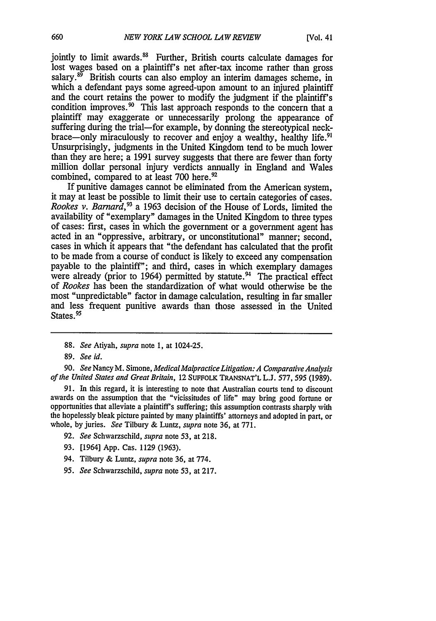jointly to limit awards.<sup>88</sup> Further, British courts calculate damages for lost wages based on a plaintiff's net after-tax income rather than gross salary. $89$  British courts can also employ an interim damages scheme, in which a defendant pays some agreed-upon amount to an injured plaintiff and the court retains the power to modify the judgment if the plaintiff's condition improves.<sup>90</sup> This last approach responds to the concern that a plaintiff may exaggerate or unnecessarily prolong the appearance of suffering during the trial-for example, by donning the stereotypical neckbrace—only miraculously to recover and enjoy a wealthy, healthy life.<sup>91</sup> Unsurprisingly, judgments in the United Kingdom tend to be much lower than they are here; a 1991 survey suggests that there are fewer than forty million dollar personal injury verdicts annually in England and Wales combined, compared to at least 700 here.<sup>92</sup>

If punitive damages cannot be eliminated from the American system, it may at least be possible to limit their use to certain categories of cases. *Rookes v. Barnard*,<sup>93</sup> a 1963 decision of the House of Lords, limited the availability of "exemplary" damages in the United Kingdom to three types of cases: first, cases in which the government or a government agent has acted in an "oppressive, arbitrary, or unconstitutional" manner; second, cases in which it appears that "the defendant has calculated that the profit to be made from a course of conduct is likely to exceed any compensation payable to the plaintiff"; and third, cases in which exemplary damages were already (prior to 1964) permitted by statute.<sup>94</sup> The practical effect of *Rookes* has been the standardization of what would otherwise be the most "unpredictable" factor in damage calculation, resulting in far smaller and less frequent punitive awards than those assessed in the United States.<sup>95</sup>

90. *See* Nancy M. Simone, *Medical Malpractice Litigation: A Comparative Analysis of the United States and Great Britain,* 12 SUFFOLK TRANSNAT'L L.J. 577, 595 (1989).

91. In this regard, it is interesting to note that Australian courts tend to discount awards on the assumption that the "vicissitudes of life" may bring good fortune or opportunities that alleviate a plaintiff's suffering; this assumption contrasts sharply with the hopelessly bleak picture painted by many plaintiffs' attorneys and adopted in part, or whole, by juries. *See* Tilbury & Luntz, *supra* note 36, at 771.

- 92. *See* Schwarzschild, *supra* note 53, at 218.
- 93. [1964] App. Cas. 1129 (1963).
- 94. Tilbury & Luntz, *supra* note 36, at 774.
- *95. See* Schwarzschild, *supra* note 53, at 217.

<sup>88.</sup> *See* Atiyah, *supra* note 1, at 1024-25.

<sup>89.</sup> *See id.*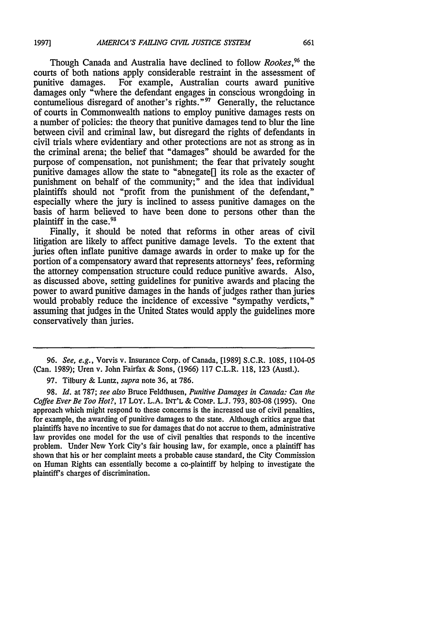**1997]**

Though Canada and Australia have declined to follow *Rookes, 96 the* courts of both nations apply considerable restraint in the assessment of punitive damages. For example, Australian courts award punitive For example, Australian courts award punitive damages only "where the defendant engages in conscious wrongdoing in contumelious disregard of another's rights." $97$  Generally, the reluctance of courts in Commonwealth nations to employ punitive damages rests on a number of policies: the theory that punitive damages tend to blur the line between civil and criminal law, but disregard the rights of defendants in civil trials where evidentiary and other protections are not as strong as in the criminal arena; the belief that "damages" should be awarded for the purpose of compensation, not punishment; the fear that privately sought punitive damages allow the state to "abnegate $\prod$  its role as the exacter of punishment on behalf of the community;" and the idea that individual plaintiffs should not "profit from the punishment of the defendant," especially where the jury is inclined to assess punitive damages on the basis of harm believed to have been done to persons other than the plaintiff in the case.<sup>91</sup>

Finally, it should be noted that reforms in other areas of civil litigation are likely to affect punitive damage levels. To the extent that juries often inflate punitive damage awards in order to make up for the portion of a compensatory award that represents attorneys' fees, reforming the attorney compensation structure could reduce punitive awards. Also, as discussed above, setting guidelines for punitive awards and placing the power to award punitive damages in the hands of judges rather than juries would probably reduce the incidence of excessive "sympathy verdicts," assuming that judges in the United States would apply the guidelines more conservatively than juries.

*<sup>96.</sup> See, e.g.,* Vorvis v. Insurance Corp. of Canada, [1989] S.C.R. 1085, 1104-05 (Can. 1989); Uren v. John Fairfax & Sons, (1966) 117 C.L.R. 118, 123 (Austl.).

<sup>97.</sup> Tilbury & Luntz, *supra* note 36, at 786.

<sup>98.</sup> *Id.* at 787; *see also* Bruce Feldthusen, *Punitive Damages in Canada: Can the Coffee Ever Be Too Hot?,* 17 LOy. L.A. INT'L **&** COMP. L.J. 793, 803-08 (1995). One approach which might respond to these concerns is the increased use of civil penalties, for example, the awarding of punitive damages to the state. Although critics argue that plaintiffs have no incentive to sue for damages that do not accrue to them, administrative law provides one model for the use of civil penalties that responds to the incentive problem. Under New York City's fair housing law, for example, once a plaintiff has shown that his or her complaint meets a probable cause standard, the City Commission on Human Rights can essentially become a co-plaintiff by helping to investigate the plaintiff's charges of discrimination.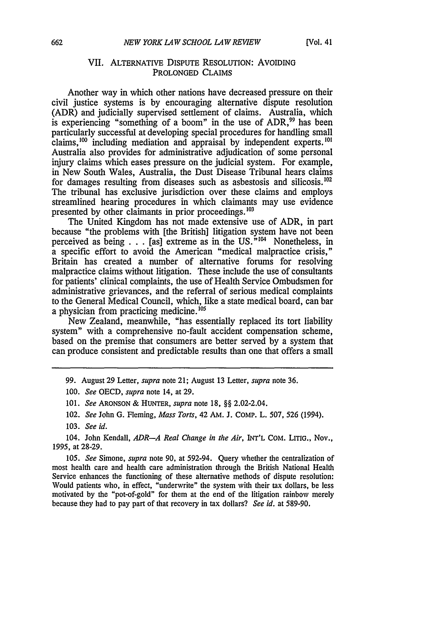# VII. ALTERNATIVE DISPUTE RESOLUTION: AVOIDING PROLONGED CLAIMS

Another way in which other nations have decreased pressure on their civil justice systems is by encouraging alternative dispute resolution (ADR) and judicially supervised settlement of claims. Australia, which is experiencing "something of a boom" in the use of  $ADR$ ,  $99$  has been particularly successful at developing special procedures for handling small claims,  $^{100}$  including mediation and appraisal by independent experts.  $^{101}$ Australia also provides for administrative adjudication of some personal injury claims which eases pressure on the judicial system. For example, in New South Wales, Australia, the Dust Disease Tribunal hears claims for damages resulting from diseases such as asbestosis and silicosis.<sup>102</sup> The tribunal has exclusive jurisdiction over these claims and employs streamlined hearing procedures in which claimants may use evidence presented by other claimants in prior proceedings.<sup>103</sup>

The United Kingdom has not made extensive use of ADR, in part because "the problems with [the British] litigation system have not been perceived as being  $\ldots$  [as] extreme as in the US."<sup>104</sup> Nonetheless, in a specific effort to avoid the American "medical malpractice crisis," Britain has created a number of alternative forums for resolving malpractice claims without litigation. These include the use of consultants for patients' clinical complaints, the use of Health Service Ombudsmen for administrative grievances, and the referral of serious medical complaints to the General Medical Council, which, like a state medical board, can bar a physician from practicing medicine.<sup>105</sup>

New Zealand, meanwhile, "has essentially replaced its tort liability system" with a comprehensive no-fault accident compensation scheme, based on the premise that consumers are better served by a system that can produce consistent and predictable results than one that offers a small

99. August 29 Letter, *supra* note 21; August 13 Letter, *supra* note 36.

101. *See* ARONSON & HUNTER, *supra* note 18, §§ 2.02-2.04.

102. *See* John G. Fleming, *Mass Torts,* 42 AM. J. COMp. L. 507, 526 (1994).

104. John Kendall, *ADR-A Real Change in the Air,* INT'L COM. LITIG., Nov., 1995, at 28-29.

105. *See* Simone, *supra* note 90, at 592-94. Query whether the centralization of most health care and health care administration through the British National Health Service enhances the functioning of these alternative methods of dispute resolution: Would patients who, in effect, "underwrite" the system with their tax dollars, be less motivated by the "pot-of-gold" for them at the end of the litigation rainbow merely because they had to pay part of that recovery in tax dollars? *See id.* at 589-90.

<sup>100.</sup> *See* OECD, *supra* note 14, at 29.

<sup>103.</sup> *See id.*